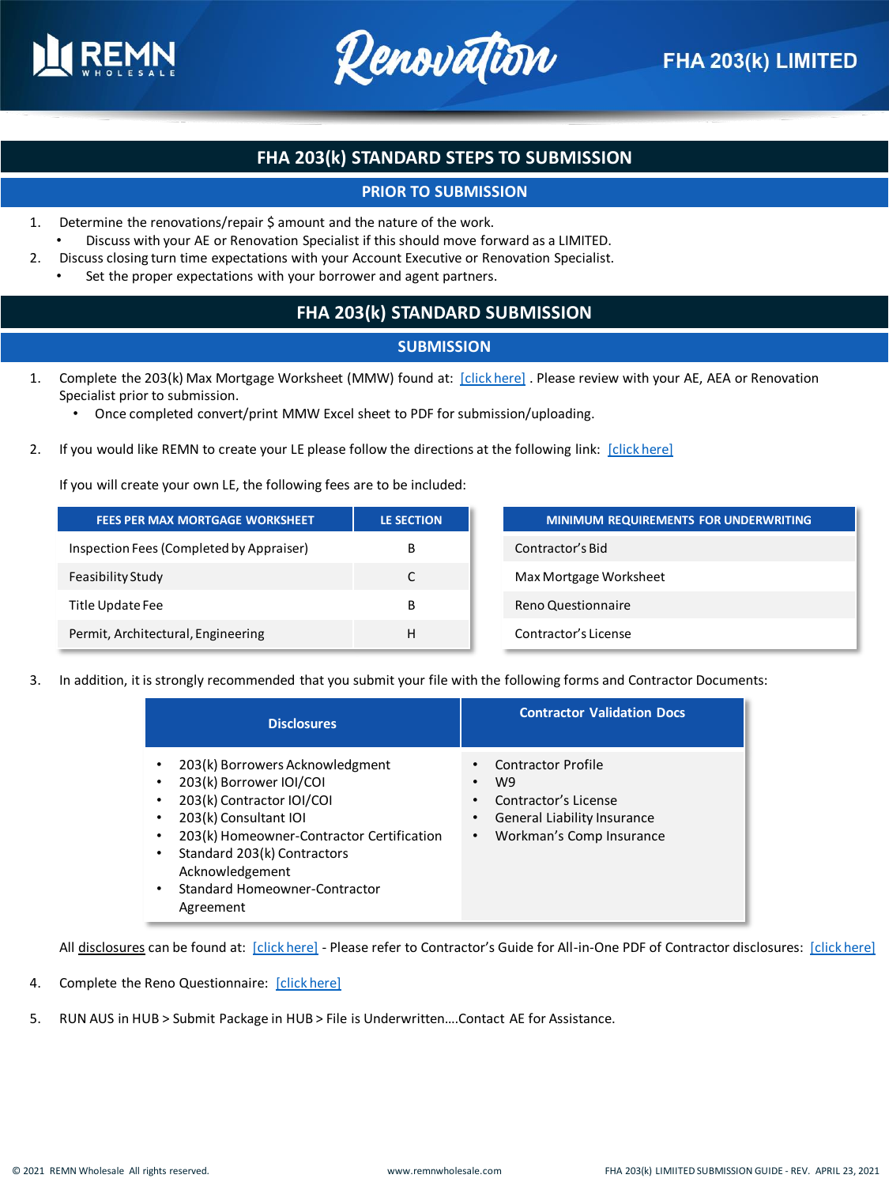



# **FHA 203(k) STANDARD STEPS TO SUBMISSION**

### **PRIOR TO SUBMISSION**

- 1. Determine the renovations/repair \$ amount and the nature of the work. • Discuss with your AE or Renovation Specialist if this should move forward as a LIMITED.
- 2. Discuss closing turn time expectations with your Account Executive or Renovation Specialist.
	- Set the proper expectations with your borrower and agent partners.

### **FHA 203(k) STANDARD SUBMISSION**

#### **SUBMISSION**

- 1. Complete the 203(k) Max Mortgage Worksheet (MMW) found at: [\[click here\]](https://www.remnwholesale.com/available_products/203k-limited/) . Please review with your AE, AEA or Renovation Specialist prior to submission.
	- Once completed convert/print MMW Excel sheet to PDF for submission/uploading.
- 2. If you would like REMN to create your LE please follow the directions at the following link: [\[click here\]](https://help.remnwholesale.com/hc/en-us/articles/360025656834-REMN-Generated-Initial-LE-HUB-)

If you will create your own LE, the following fees are to be included:

| <b>FEES PER MAX MORTGAGE WORKSHEET</b>   | <b>LE SECTION</b> | <b>MINIMUM REQUIREMENTS FOR UNDERWRITING</b> |
|------------------------------------------|-------------------|----------------------------------------------|
| Inspection Fees (Completed by Appraiser) | В                 | Contractor's Bid                             |
| Feasibility Study                        | C                 | Max Mortgage Worksheet                       |
| Title Update Fee                         | B                 | Reno Questionnaire                           |
| Permit, Architectural, Engineering       | н                 | Contractor's License                         |

3. In addition, it is strongly recommended that you submit your file with the following forms and Contractor Documents:

| <b>Disclosures</b>                                                                                                                                                                                                                                                                               | <b>Contractor Validation Docs</b>                                                                                                           |
|--------------------------------------------------------------------------------------------------------------------------------------------------------------------------------------------------------------------------------------------------------------------------------------------------|---------------------------------------------------------------------------------------------------------------------------------------------|
| 203(k) Borrowers Acknowledgment<br>٠<br>203(k) Borrower IOI/COI<br>٠<br>203(k) Contractor IOI/COI<br>٠<br>203(k) Consultant IOI<br>٠<br>203(k) Homeowner-Contractor Certification<br>٠<br>Standard 203(k) Contractors<br>٠<br>Acknowledgement<br>Standard Homeowner-Contractor<br>٠<br>Agreement | <b>Contractor Profile</b><br>٠<br>W9<br>٠<br>Contractor's License<br>٠<br>General Liability Insurance<br>٠<br>Workman's Comp Insurance<br>٠ |

All disclosures can be found at: [\[click here\]](https://www.remnwholesale.com/available_products/203k-limited/) - Please refer to Contractor's Guide for All-in-One PDF of Contractor disclosures: [\[click here\]](https://www.remnwholesale.com/wp-content/uploads/2020/09/Contractors-Guide-203K-Limited-9.24.20.pdf)

- 4. Complete the Reno Questionnaire: [\[click here\]](https://www.remnwholesale.com/reno-questionnaire/)
- 5. RUN AUS in HUB > Submit Package in HUB > File is Underwritten….Contact AE for Assistance.